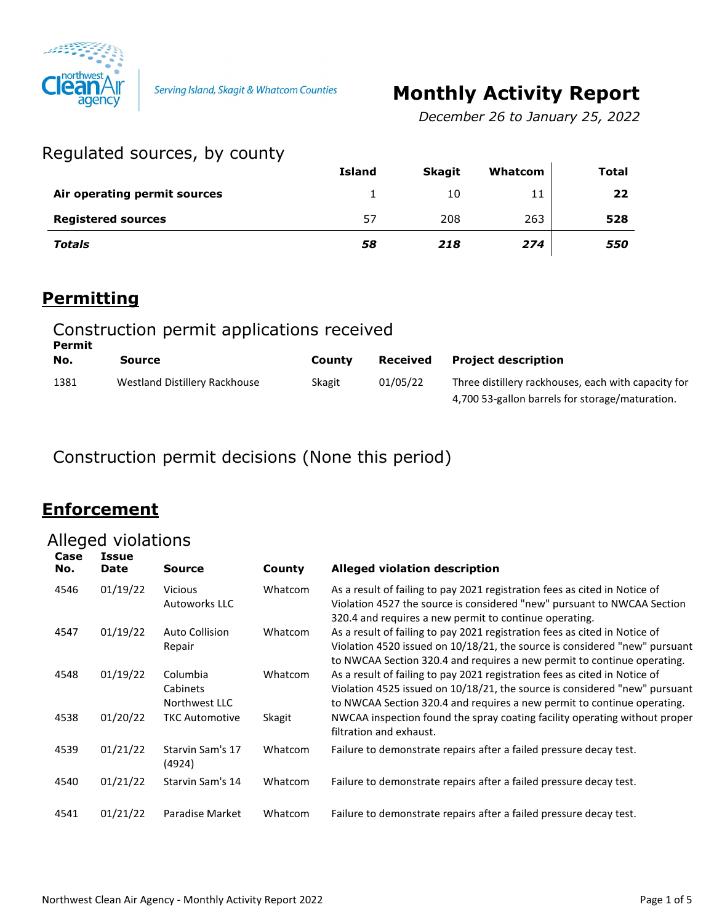

# **Monthly Activity Report**

*December 26 to January 25, 2022*

### Regulated sources, by county

|                              | <b>Island</b> | <b>Skagit</b> | Whatcom | <b>Total</b> |
|------------------------------|---------------|---------------|---------|--------------|
| Air operating permit sources |               | 10            | 11      | 22           |
| <b>Registered sources</b>    | 57            | 208           | 263     | 528          |
| <b>Totals</b>                | 58            | 218           | 274     | 550          |

#### **Permitting**

| Construction permit applications received<br>Permit |                               |        |                 |                                                                                                        |  |  |
|-----------------------------------------------------|-------------------------------|--------|-----------------|--------------------------------------------------------------------------------------------------------|--|--|
| No.                                                 | Source                        | County | <b>Received</b> | <b>Project description</b>                                                                             |  |  |
| 1381                                                | Westland Distillery Rackhouse | Skagit | 01/05/22        | Three distillery rackhouses, each with capacity for<br>4,700 53-gallon barrels for storage/maturation. |  |  |

Construction permit decisions (None this period)

### **Enforcement**

# Alleged violations

| Case<br>No. | Issue<br>Date | Source                                | County  | <b>Alleged violation description</b>                                                                                                                                                                                                |
|-------------|---------------|---------------------------------------|---------|-------------------------------------------------------------------------------------------------------------------------------------------------------------------------------------------------------------------------------------|
| 4546        | 01/19/22      | <b>Vicious</b><br>Autoworks LLC       | Whatcom | As a result of failing to pay 2021 registration fees as cited in Notice of<br>Violation 4527 the source is considered "new" pursuant to NWCAA Section<br>320.4 and requires a new permit to continue operating.                     |
| 4547        | 01/19/22      | <b>Auto Collision</b><br>Repair       | Whatcom | As a result of failing to pay 2021 registration fees as cited in Notice of<br>Violation 4520 issued on 10/18/21, the source is considered "new" pursuant<br>to NWCAA Section 320.4 and requires a new permit to continue operating. |
| 4548        | 01/19/22      | Columbia<br>Cabinets<br>Northwest LLC | Whatcom | As a result of failing to pay 2021 registration fees as cited in Notice of<br>Violation 4525 issued on 10/18/21, the source is considered "new" pursuant<br>to NWCAA Section 320.4 and requires a new permit to continue operating. |
| 4538        | 01/20/22      | <b>TKC Automotive</b>                 | Skagit  | NWCAA inspection found the spray coating facility operating without proper<br>filtration and exhaust.                                                                                                                               |
| 4539        | 01/21/22      | Starvin Sam's 17<br>(4924)            | Whatcom | Failure to demonstrate repairs after a failed pressure decay test.                                                                                                                                                                  |
| 4540        | 01/21/22      | Starvin Sam's 14                      | Whatcom | Failure to demonstrate repairs after a failed pressure decay test.                                                                                                                                                                  |
| 4541        | 01/21/22      | Paradise Market                       | Whatcom | Failure to demonstrate repairs after a failed pressure decay test.                                                                                                                                                                  |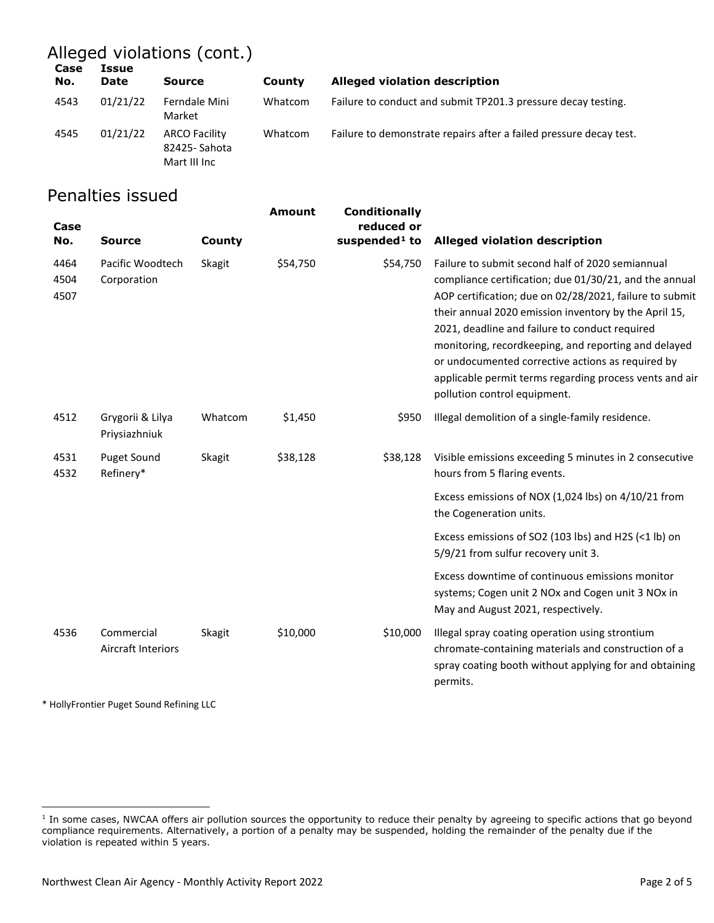# Alleged violations (cont.)

| Case<br>No. | Issue<br>Date | <b>Source</b>                                        | County  | Alleged violation description                                      |
|-------------|---------------|------------------------------------------------------|---------|--------------------------------------------------------------------|
| 4543        | 01/21/22      | Ferndale Mini<br>Market                              | Whatcom | Failure to conduct and submit TP201.3 pressure decay testing.      |
| 4545        | 01/21/22      | <b>ARCO Facility</b><br>82425-Sahota<br>Mart III Inc | Whatcom | Failure to demonstrate repairs after a failed pressure decay test. |

### Penalties issued

| Case<br>No.          | <b>Source</b>                            | County  | <b>Amount</b> | <b>Conditionally</b><br>reduced or<br>suspended <sup>1</sup> to | <b>Alleged violation description</b>                                                                                                                                                                                                                                                                                                                                                                                                                                                     |
|----------------------|------------------------------------------|---------|---------------|-----------------------------------------------------------------|------------------------------------------------------------------------------------------------------------------------------------------------------------------------------------------------------------------------------------------------------------------------------------------------------------------------------------------------------------------------------------------------------------------------------------------------------------------------------------------|
| 4464<br>4504<br>4507 | Pacific Woodtech<br>Corporation          | Skagit  | \$54,750      | \$54,750                                                        | Failure to submit second half of 2020 semiannual<br>compliance certification; due 01/30/21, and the annual<br>AOP certification; due on 02/28/2021, failure to submit<br>their annual 2020 emission inventory by the April 15,<br>2021, deadline and failure to conduct required<br>monitoring, recordkeeping, and reporting and delayed<br>or undocumented corrective actions as required by<br>applicable permit terms regarding process vents and air<br>pollution control equipment. |
| 4512                 | Grygorii & Lilya<br>Priysiazhniuk        | Whatcom | \$1,450       | \$950                                                           | Illegal demolition of a single-family residence.                                                                                                                                                                                                                                                                                                                                                                                                                                         |
| 4531<br>4532         | <b>Puget Sound</b><br>Refinery*          | Skagit  | \$38,128      | \$38,128                                                        | Visible emissions exceeding 5 minutes in 2 consecutive<br>hours from 5 flaring events.                                                                                                                                                                                                                                                                                                                                                                                                   |
|                      |                                          |         |               |                                                                 | Excess emissions of NOX (1,024 lbs) on 4/10/21 from<br>the Cogeneration units.                                                                                                                                                                                                                                                                                                                                                                                                           |
|                      |                                          |         |               |                                                                 | Excess emissions of SO2 (103 lbs) and H2S (<1 lb) on<br>5/9/21 from sulfur recovery unit 3.                                                                                                                                                                                                                                                                                                                                                                                              |
|                      |                                          |         |               |                                                                 | Excess downtime of continuous emissions monitor<br>systems; Cogen unit 2 NOx and Cogen unit 3 NOx in<br>May and August 2021, respectively.                                                                                                                                                                                                                                                                                                                                               |
| 4536                 | Commercial<br><b>Aircraft Interiors</b>  | Skagit  | \$10,000      | \$10,000                                                        | Illegal spray coating operation using strontium<br>chromate-containing materials and construction of a<br>spray coating booth without applying for and obtaining<br>permits.                                                                                                                                                                                                                                                                                                             |
|                      | * HollyFrontier Puget Sound Refining LLC |         |               |                                                                 |                                                                                                                                                                                                                                                                                                                                                                                                                                                                                          |

<span id="page-1-0"></span><sup>&</sup>lt;sup>1</sup> In some cases, NWCAA offers air pollution sources the opportunity to reduce their penalty by agreeing to specific actions that go beyond compliance requirements. Alternatively, a portion of a penalty may be suspended, holding the remainder of the penalty due if the violation is repeated within 5 years.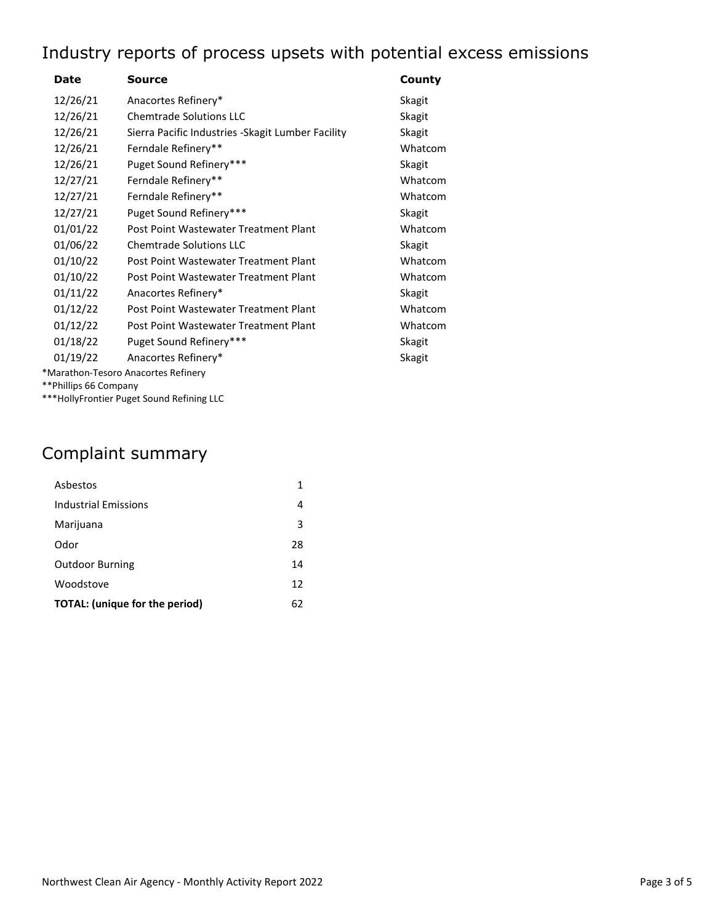# Industry reports of process upsets with potential excess emissions

| Date                  | Source                                             | County  |
|-----------------------|----------------------------------------------------|---------|
| 12/26/21              | Anacortes Refinery*                                | Skagit  |
| 12/26/21              | <b>Chemtrade Solutions LLC</b>                     | Skagit  |
| 12/26/21              | Sierra Pacific Industries - Skagit Lumber Facility | Skagit  |
| 12/26/21              | Ferndale Refinery**                                | Whatcom |
| 12/26/21              | Puget Sound Refinery***                            | Skagit  |
| 12/27/21              | Ferndale Refinery**                                | Whatcom |
| 12/27/21              | Ferndale Refinery**                                | Whatcom |
| 12/27/21              | Puget Sound Refinery***                            | Skagit  |
| 01/01/22              | Post Point Wastewater Treatment Plant              | Whatcom |
| 01/06/22              | <b>Chemtrade Solutions LLC</b>                     | Skagit  |
| 01/10/22              | Post Point Wastewater Treatment Plant              | Whatcom |
| 01/10/22              | Post Point Wastewater Treatment Plant              | Whatcom |
| 01/11/22              | Anacortes Refinery*                                | Skagit  |
| 01/12/22              | Post Point Wastewater Treatment Plant              | Whatcom |
| 01/12/22              | Post Point Wastewater Treatment Plant              | Whatcom |
| 01/18/22              | Puget Sound Refinery***                            | Skagit  |
| 01/19/22              | Anacortes Refinery*                                | Skagit  |
| **Phillips 66 Company | *Marathon-Tesoro Anacortes Refinery                |         |

\*\*\*HollyFrontier Puget Sound Refining LLC

# Complaint summary

| Ashestos                              | 1  |
|---------------------------------------|----|
| <b>Industrial Emissions</b>           | 4  |
| Marijuana                             | 3  |
| Odor                                  | 28 |
| <b>Outdoor Burning</b>                | 14 |
| Woodstove                             | 12 |
| <b>TOTAL:</b> (unique for the period) | 62 |
|                                       |    |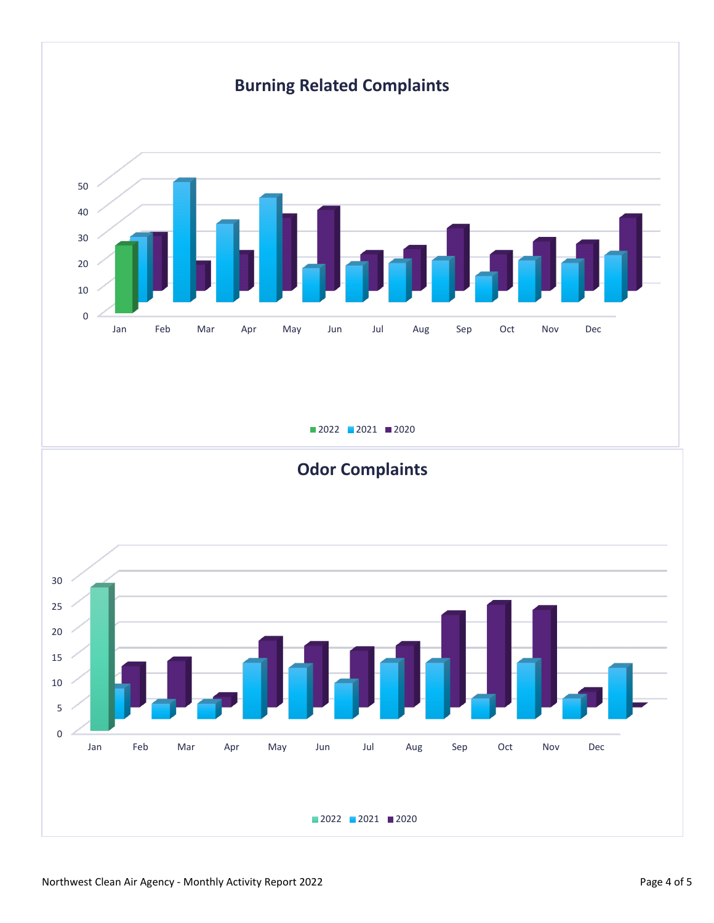